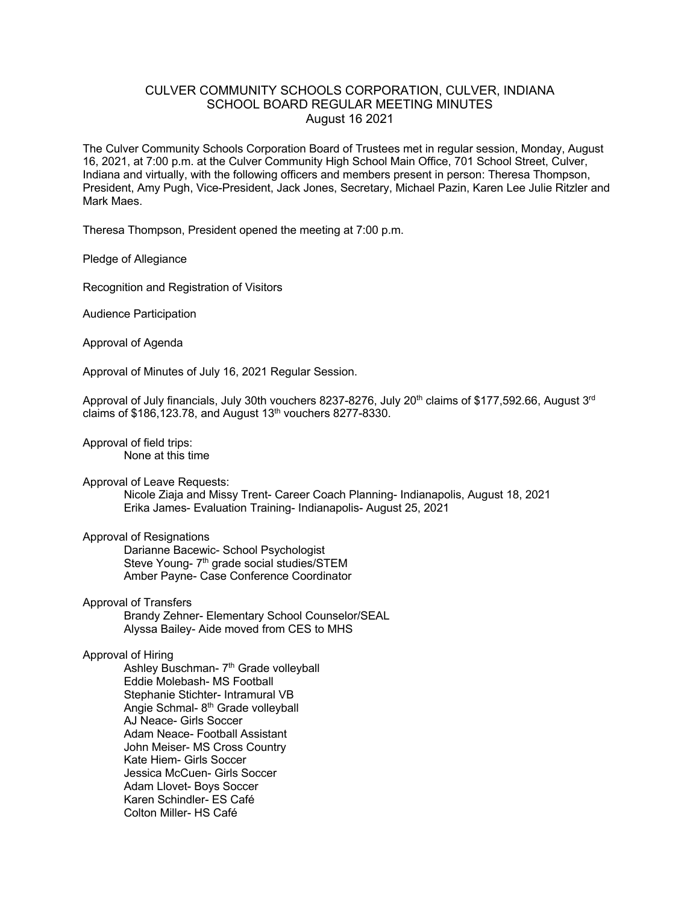## CULVER COMMUNITY SCHOOLS CORPORATION, CULVER, INDIANA SCHOOL BOARD REGULAR MEETING MINUTES August 16 2021

The Culver Community Schools Corporation Board of Trustees met in regular session, Monday, August 16, 2021, at 7:00 p.m. at the Culver Community High School Main Office, 701 School Street, Culver, Indiana and virtually, with the following officers and members present in person: Theresa Thompson, President, Amy Pugh, Vice-President, Jack Jones, Secretary, Michael Pazin, Karen Lee Julie Ritzler and Mark Maes.

Theresa Thompson, President opened the meeting at 7:00 p.m.

Pledge of Allegiance

Recognition and Registration of Visitors

Audience Participation

Approval of Agenda

Approval of Minutes of July 16, 2021 Regular Session.

Approval of July financials, July 30th vouchers 8237-8276, July 20<sup>th</sup> claims of \$177,592.66, August 3<sup>rd</sup> claims of  $$186,123.78$ , and August  $13<sup>th</sup>$  vouchers 8277-8330.

Approval of field trips: None at this time

Approval of Leave Requests:

Nicole Ziaja and Missy Trent- Career Coach Planning- Indianapolis, August 18, 2021 Erika James- Evaluation Training- Indianapolis- August 25, 2021

## Approval of Resignations

Darianne Bacewic- School Psychologist Steve Young- 7<sup>th</sup> grade social studies/STEM Amber Payne- Case Conference Coordinator

Approval of Transfers

Brandy Zehner- Elementary School Counselor/SEAL Alyssa Bailey- Aide moved from CES to MHS

## Approval of Hiring

Ashley Buschman- 7<sup>th</sup> Grade volleyball Eddie Molebash- MS Football Stephanie Stichter- Intramural VB Angie Schmal- 8<sup>th</sup> Grade volleyball AJ Neace- Girls Soccer Adam Neace- Football Assistant John Meiser- MS Cross Country Kate Hiem- Girls Soccer Jessica McCuen- Girls Soccer Adam Llovet- Boys Soccer Karen Schindler- ES Café Colton Miller- HS Café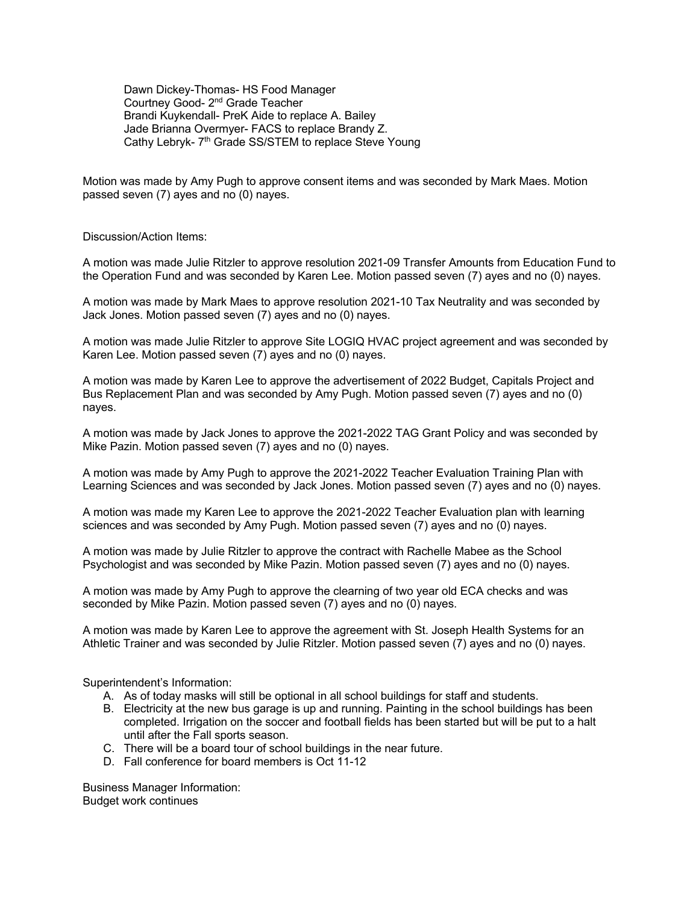Dawn Dickey-Thomas- HS Food Manager Courtney Good- 2nd Grade Teacher Brandi Kuykendall- PreK Aide to replace A. Bailey Jade Brianna Overmyer- FACS to replace Brandy Z. Cathy Lebryk- 7<sup>th</sup> Grade SS/STEM to replace Steve Young

Motion was made by Amy Pugh to approve consent items and was seconded by Mark Maes. Motion passed seven (7) ayes and no (0) nayes.

Discussion/Action Items:

A motion was made Julie Ritzler to approve resolution 2021-09 Transfer Amounts from Education Fund to the Operation Fund and was seconded by Karen Lee. Motion passed seven (7) ayes and no (0) nayes.

A motion was made by Mark Maes to approve resolution 2021-10 Tax Neutrality and was seconded by Jack Jones. Motion passed seven (7) ayes and no (0) nayes.

A motion was made Julie Ritzler to approve Site LOGIQ HVAC project agreement and was seconded by Karen Lee. Motion passed seven (7) ayes and no (0) nayes.

A motion was made by Karen Lee to approve the advertisement of 2022 Budget, Capitals Project and Bus Replacement Plan and was seconded by Amy Pugh. Motion passed seven (7) ayes and no (0) nayes.

A motion was made by Jack Jones to approve the 2021-2022 TAG Grant Policy and was seconded by Mike Pazin. Motion passed seven (7) ayes and no (0) nayes.

A motion was made by Amy Pugh to approve the 2021-2022 Teacher Evaluation Training Plan with Learning Sciences and was seconded by Jack Jones. Motion passed seven (7) ayes and no (0) nayes.

A motion was made my Karen Lee to approve the 2021-2022 Teacher Evaluation plan with learning sciences and was seconded by Amy Pugh. Motion passed seven (7) ayes and no (0) nayes.

A motion was made by Julie Ritzler to approve the contract with Rachelle Mabee as the School Psychologist and was seconded by Mike Pazin. Motion passed seven (7) ayes and no (0) nayes.

A motion was made by Amy Pugh to approve the clearning of two year old ECA checks and was seconded by Mike Pazin. Motion passed seven (7) ayes and no (0) nayes.

A motion was made by Karen Lee to approve the agreement with St. Joseph Health Systems for an Athletic Trainer and was seconded by Julie Ritzler. Motion passed seven (7) ayes and no (0) nayes.

Superintendent's Information:

- A. As of today masks will still be optional in all school buildings for staff and students.
- B. Electricity at the new bus garage is up and running. Painting in the school buildings has been completed. Irrigation on the soccer and football fields has been started but will be put to a halt until after the Fall sports season.
- C. There will be a board tour of school buildings in the near future.
- D. Fall conference for board members is Oct 11-12

Business Manager Information: Budget work continues